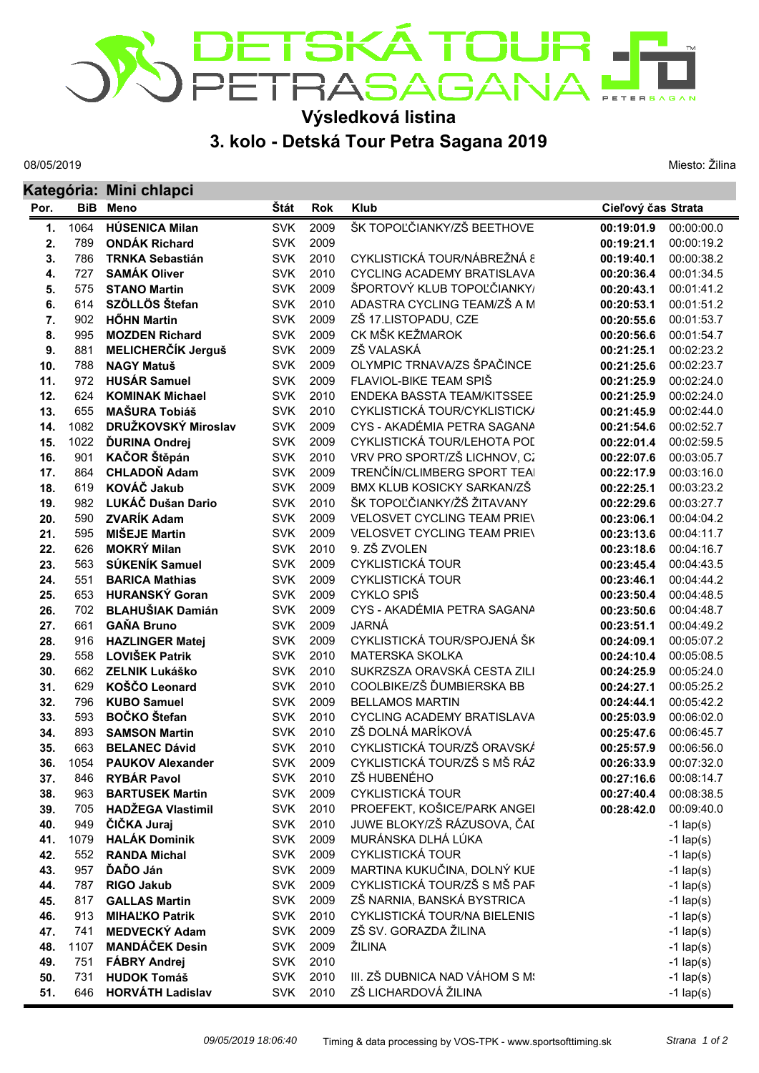## DETSKÁ TOUR<br>PETRASAGANA

## **Výsledková listina**

## **3. kolo - Detská Tour Petra Sagana 2019**

08/05/2019

Miesto: Žilina

| Kategória: Mini chlapci |            |                                           |                          |              |                                                          |                          |                          |
|-------------------------|------------|-------------------------------------------|--------------------------|--------------|----------------------------------------------------------|--------------------------|--------------------------|
| Por.                    | <b>BiB</b> | <b>Meno</b>                               | Štát                     | <b>Rok</b>   | <b>Klub</b>                                              | Cieľový čas Strata       |                          |
| 1.                      | 1064       | <b>HÚSENICA Milan</b>                     | <b>SVK</b>               | 2009         | ŠK TOPOĽČIANKY/ZŠ BEETHOVE                               | 00:19:01.9               | 00:00:00.0               |
| 2.                      | 789        | <b>ONDÁK Richard</b>                      | <b>SVK</b>               | 2009         |                                                          | 00:19:21.1               | 00:00:19.2               |
| 3.                      | 786        | <b>TRNKA Sebastián</b>                    | <b>SVK</b>               | 2010         | CYKLISTICKÁ TOUR/NÁBREŽNÁ 8                              | 00:19:40.1               | 00:00:38.2               |
| 4.                      | 727        | <b>SAMÁK Oliver</b>                       | <b>SVK</b>               | 2010         | <b>CYCLING ACADEMY BRATISLAVA</b>                        | 00:20:36.4               | 00:01:34.5               |
| 5.                      | 575        | <b>STANO Martin</b>                       | <b>SVK</b>               | 2009         | ŠPORTOVÝ KLUB TOPOĽČIANKY/                               | 00:20:43.1               | 00:01:41.2               |
| 6.                      | 614        | SZÖLLÖS Štefan                            | <b>SVK</b>               | 2010         | ADASTRA CYCLING TEAM/ZŠ A M                              | 00:20:53.1               | 00:01:51.2               |
| 7.                      | 902        | <b>HÖHN Martin</b>                        | <b>SVK</b>               | 2009         | ZŠ 17.LISTOPADU, CZE                                     | 00:20:55.6               | 00:01:53.7               |
| 8.                      | 995        | <b>MOZDEN Richard</b>                     | <b>SVK</b>               | 2009         | CK MŠK KEŽMAROK                                          | 00:20:56.6               | 00:01:54.7               |
| 9.                      | 881        | MELICHERČÍK Jerguš                        | <b>SVK</b>               | 2009         | ZŠ VALASKÁ                                               | 00:21:25.1               | 00:02:23.2               |
| 10.                     | 788        | <b>NAGY Matuš</b>                         | <b>SVK</b>               | 2009         | OLYMPIC TRNAVA/ZS ŠPAČINCE                               | 00:21:25.6               | 00:02:23.7               |
| 11.                     | 972        | <b>HUSAR Samuel</b>                       | <b>SVK</b>               | 2009         | FLAVIOL-BIKE TEAM SPIŠ                                   | 00:21:25.9               | 00:02:24.0               |
| 12.                     | 624        | <b>KOMINAK Michael</b>                    | <b>SVK</b>               | 2010         | ENDEKA BASSTA TEAM/KITSSEE                               | 00:21:25.9               | 00:02:24.0               |
| 13.                     | 655        | <b>MAŠURA Tobiáš</b>                      | <b>SVK</b>               | 2010         | CYKLISTICKÁ TOUR/CYKLISTICK/                             | 00:21:45.9               | 00:02:44.0               |
| 14.                     | 1082       | DRUŽKOVSKÝ Miroslav                       | <b>SVK</b>               | 2009         | CYS - AKADÉMIA PETRA SAGANA                              | 00:21:54.6               | 00:02:52.7               |
| 15.                     | 1022       | <b>ĎURINA Ondrej</b>                      | <b>SVK</b>               | 2009         | CYKLISTICKÁ TOUR/LEHOTA POL                              | 00:22:01.4               | 00:02:59.5               |
| 16.                     | 901        | KAČOR Štěpán                              | <b>SVK</b>               | 2010         | VRV PRO SPORT/ZŠ LICHNOV, CZ                             | 00:22:07.6               | 00:03:05.7               |
| 17.                     | 864        | <b>CHLADOŇ Adam</b><br><b>KOVÁČ Jakub</b> | <b>SVK</b>               | 2009         | TRENČÍN/CLIMBERG SPORT TEAI                              | 00:22:17.9               | 00:03:16.0               |
| 18.                     | 619        |                                           | <b>SVK</b><br><b>SVK</b> | 2009<br>2010 | BMX KLUB KOSICKY SARKAN/ZŠ<br>ŠK TOPOĽČIANKY/ŽŠ ŽITAVANY | 00:22:25.1               | 00:03:23.2<br>00:03:27.7 |
| 19.<br>20.              | 982<br>590 | LUKÁČ Dušan Dario<br><b>ZVARÍK Adam</b>   | <b>SVK</b>               | 2009         | <b>VELOSVET CYCLING TEAM PRIEV</b>                       | 00:22:29.6<br>00:23:06.1 | 00:04:04.2               |
| 21.                     | 595        | <b>MIŠEJE Martin</b>                      | <b>SVK</b>               | 2009         | <b>VELOSVET CYCLING TEAM PRIEV</b>                       | 00:23:13.6               | 00:04:11.7               |
| 22.                     | 626        | <b>MOKRÝ Milan</b>                        | <b>SVK</b>               | 2010         | 9. ZŠ ZVOLEN                                             | 00:23:18.6               | 00:04:16.7               |
| 23.                     | 563        | SÚKENÍK Samuel                            | <b>SVK</b>               | 2009         | <b>CYKLISTICKÁ TOUR</b>                                  | 00:23:45.4               | 00:04:43.5               |
| 24.                     | 551        | <b>BARICA Mathias</b>                     | <b>SVK</b>               | 2009         | <b>CYKLISTICKÁ TOUR</b>                                  | 00:23:46.1               | 00:04:44.2               |
| 25.                     | 653        | <b>HURANSKÝ Goran</b>                     | <b>SVK</b>               | 2009         | CYKLO SPIŠ                                               | 00:23:50.4               | 00:04:48.5               |
| 26.                     | 702        | <b>BLAHUŠIAK Damián</b>                   | <b>SVK</b>               | 2009         | CYS - AKADÉMIA PETRA SAGANA                              | 00:23:50.6               | 00:04:48.7               |
| 27.                     | 661        | <b>GAŇA Bruno</b>                         | <b>SVK</b>               | 2009         | JARNÁ                                                    | 00:23:51.1               | 00:04:49.2               |
| 28.                     | 916        | <b>HAZLINGER Matej</b>                    | <b>SVK</b>               | 2009         | CYKLISTICKÁ TOUR/SPOJENÁ ŠK                              | 00:24:09.1               | 00:05:07.2               |
| 29.                     | 558        | <b>LOVIŠEK Patrik</b>                     | <b>SVK</b>               | 2010         | MATERSKA SKOLKA                                          | 00:24:10.4               | 00:05:08.5               |
| 30.                     | 662        | <b>ZELNIK Lukáško</b>                     | <b>SVK</b>               | 2010         | SUKRZSZA ORAVSKÁ CESTA ZILI                              | 00:24:25.9               | 00:05:24.0               |
| 31.                     | 629        | KOŠČO Leonard                             | <b>SVK</b>               | 2010         | COOLBIKE/ZŠ ĎUMBIERSKA BB                                | 00:24:27.1               | 00:05:25.2               |
| 32.                     | 796        | <b>KUBO Samuel</b>                        | <b>SVK</b>               | 2009         | <b>BELLAMOS MARTIN</b>                                   | 00:24:44.1               | 00:05:42.2               |
| 33.                     | 593        | <b>BOČKO</b> Štefan                       | <b>SVK</b>               | 2010         | <b>CYCLING ACADEMY BRATISLAVA</b>                        | 00:25:03.9               | 00:06:02.0               |
| 34.                     | 893        | <b>SAMSON Martin</b>                      | <b>SVK</b>               | 2010         | ZŠ DOLNÁ MARÍKOVÁ                                        | 00:25:47.6               | 00:06:45.7               |
| 35.                     | 663        | <b>BELANEC Dávid</b>                      | <b>SVK</b>               | 2010         | CYKLISTICKÁ TOUR/ZŠ ORAVSKÁ                              | 00:25:57.9               | 00:06:56.0               |
| 36.                     | 1054       | <b>PAUKOV Alexander</b>                   | <b>SVK</b>               | 2009         | CYKLISTICKÁ TOUR/ZŠ S MŠ RÁZ                             | 00:26:33.9               | 00:07:32.0               |
| 37.                     | 846        | <b>RYBÁR Pavol</b>                        | <b>SVK</b>               | 2010         | ZŠ HUBENÉHO                                              | 00:27:16.6               | 00:08:14.7               |
| 38.                     | 963        | <b>BARTUSEK Martin</b>                    | <b>SVK</b>               | 2009         | <b>CYKLISTICKÁ TOUR</b>                                  | 00:27:40.4               | 00:08:38.5               |
| 39.                     | 705        | <b>HADŽEGA Vlastimil</b>                  | <b>SVK</b>               | 2010         | PROEFEKT, KOŠICE/PARK ANGEI                              | 00:28:42.0               | 00:09:40.0               |
| 40.                     | 949        | ČIČKA Juraj                               | <b>SVK</b>               | 2010         | JUWE BLOKY/ZŠ RÁZUSOVA, ČAI                              |                          | $-1$ lap(s)              |
| 41.                     | 1079       | <b>HALÁK Dominik</b>                      | <b>SVK</b>               | 2009         | MURÁNSKA DLHÁ LÚKA                                       |                          | $-1$ lap(s)              |
| 42.                     | 552        | <b>RANDA Michal</b>                       | <b>SVK</b>               | 2009         | <b>CYKLISTICKÁ TOUR</b>                                  |                          | $-1$ lap(s)              |
| 43.                     | 957        | ĎAĎO Ján                                  | <b>SVK</b>               | 2009         | MARTINA KUKUČINA, DOLNÝ KUE                              |                          | $-1$ lap(s)              |
| 44.                     | 787        | <b>RIGO Jakub</b>                         | <b>SVK</b>               | 2009         | CYKLISTICKÁ TOUR/ZŠ S MŠ PAF                             |                          | $-1$ lap(s)              |
| 45.                     | 817        | <b>GALLAS Martin</b>                      | <b>SVK</b>               | 2009         | ZŠ NARNIA, BANSKÁ BYSTRICA                               |                          | $-1$ lap(s)              |
| 46.                     | 913        | <b>MIHALKO Patrik</b>                     | <b>SVK</b>               | 2010         | CYKLISTICKÁ TOUR/NA BIELENIS                             |                          | $-1$ lap(s)              |
| 47.                     | 741        | <b>MEDVECKÝ Adam</b>                      | <b>SVK</b>               | 2009         | ZŠ SV. GORAZDA ŽILINA                                    |                          | $-1$ lap(s)              |
| 48.                     | 1107       | <b>MANDÁČEK Desin</b>                     | <b>SVK</b>               | 2009         | ŽILINA                                                   |                          | $-1$ lap(s)              |
| 49.                     | 751        | <b>FÁBRY Andrej</b>                       | <b>SVK</b>               | 2010         |                                                          |                          | $-1$ lap(s)              |
| 50.                     | 731        | <b>HUDOK Tomáš</b>                        | <b>SVK</b>               | 2010         | III. ZŠ DUBNICA NAD VÁHOM S M!                           |                          | $-1$ lap(s)              |
| 51.                     | 646        | <b>HORVÁTH Ladislav</b>                   | <b>SVK</b>               | 2010         | ZŠ LICHARDOVÁ ŽILINA                                     |                          | $-1$ lap(s)              |